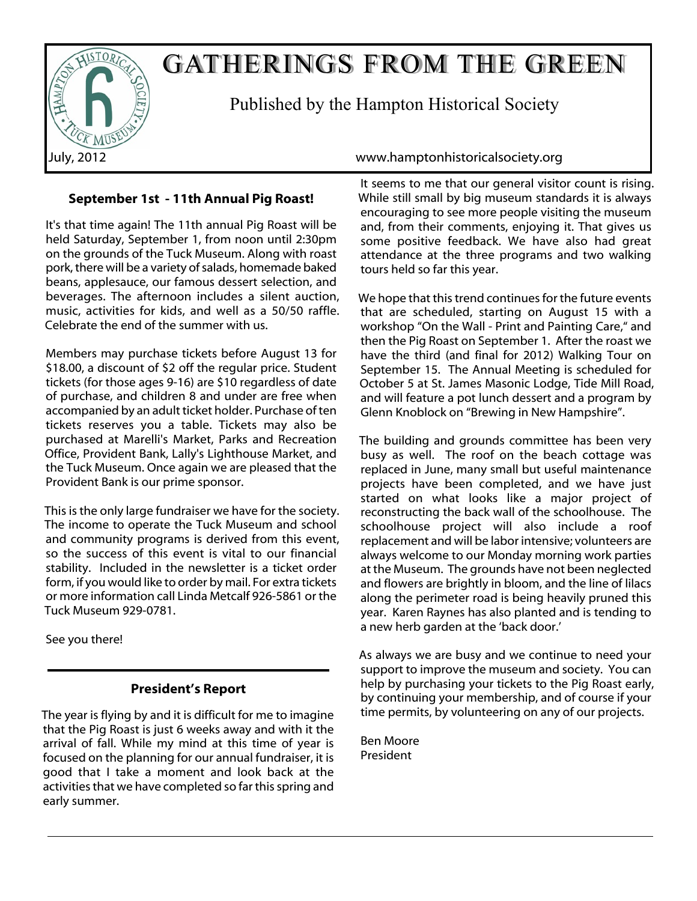

# GATHERINGS FROM THE GREEN

Published by the Hampton Historical Society

# **September 1st - 11th Annual Pig Roast!**

It's that time again! The 11th annual Pig Roast will be held Saturday, September 1, from noon until 2:30pm on the grounds of the Tuck Museum. Along with roast pork, there will be a variety of salads, homemade baked beans, applesauce, our famous dessert selection, and beverages. The afternoon includes a silent auction, music, activities for kids, and well as a 50/50 raffle. Celebrate the end of the summer with us.

Members may purchase tickets before August 13 for \$18.00, a discount of \$2 off the regular price. Student tickets (for those ages 9-16) are \$10 regardless of date of purchase, and children 8 and under are free when accompanied by an adult ticket holder. Purchase of ten tickets reserves you a table. Tickets may also be purchased at Marelli's Market, Parks and Recreation Office, Provident Bank, Lally's Lighthouse Market, and the Tuck Museum. Once again we are pleased that the Provident Bank is our prime sponsor.

This is the only large fundraiser we have for the society. The income to operate the Tuck Museum and school and community programs is derived from this event, so the success of this event is vital to our financial stability. Included in the newsletter is a ticket order form, if you would like to order by mail. For extra tickets or more information call Linda Metcalf 926-5861 or the Tuck Museum 929-0781.

See you there!

# **President's Report**

The year is flying by and it is difficult for me to imagine that the Pig Roast is just 6 weeks away and with it the arrival of fall. While my mind at this time of year is focused on the planning for our annual fundraiser, it is good that I take a moment and look back at the activities that we have completed so far this spring and early summer.

July, 2012 www.hamptonhistoricalsociety.org

It seems to me that our general visitor count is rising. While still small by big museum standards it is always encouraging to see more people visiting the museum and, from their comments, enjoying it. That gives us some positive feedback. We have also had great attendance at the three programs and two walking tours held so far this year.

We hope that this trend continues for the future events that are scheduled, starting on August 15 with a workshop "On the Wall - Print and Painting Care," and then the Pig Roast on September 1. After the roast we have the third (and final for 2012) Walking Tour on September 15. The Annual Meeting is scheduled for October 5 at St. James Masonic Lodge, Tide Mill Road, and will feature a pot lunch dessert and a program by Glenn Knoblock on "Brewing in New Hampshire".

The building and grounds committee has been very busy as well. The roof on the beach cottage was replaced in June, many small but useful maintenance projects have been completed, and we have just started on what looks like a major project of reconstructing the back wall of the schoolhouse. The schoolhouse project will also include a roof replacement and will be labor intensive; volunteers are always welcome to our Monday morning work parties at the Museum. The grounds have not been neglected and flowers are brightly in bloom, and the line of lilacs along the perimeter road is being heavily pruned this year. Karen Raynes has also planted and is tending to a new herb garden at the 'back door.'

As always we are busy and we continue to need your support to improve the museum and society. You can help by purchasing your tickets to the Pig Roast early, by continuing your membership, and of course if your time permits, by volunteering on any of our projects.

Ben Moore President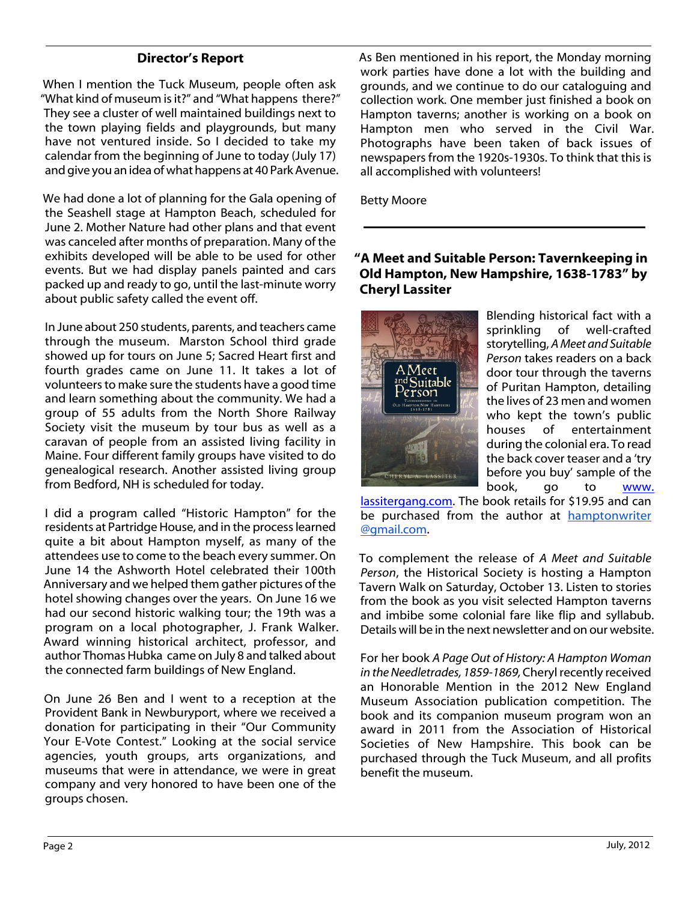# **Director's Report**

When I mention the Tuck Museum, people often ask "What kind of museum is it?" and "What happens there?" They see a cluster of well maintained buildings next to the town playing fields and playgrounds, but many have not ventured inside. So I decided to take my calendar from the beginning of June to today (July 17) and give you an idea of what happens at 40 Park Avenue.

We had done a lot of planning for the Gala opening of the Seashell stage at Hampton Beach, scheduled for June 2. Mother Nature had other plans and that event was canceled after months of preparation. Many of the exhibits developed will be able to be used for other events. But we had display panels painted and cars packed up and ready to go, until the last-minute worry about public safety called the event off.

In June about 250 students, parents, and teachers came through the museum. Marston School third grade showed up for tours on June 5; Sacred Heart first and fourth grades came on June 11. It takes a lot of volunteers to make sure the students have a good time and learn something about the community. We had a group of 55 adults from the North Shore Railway Society visit the museum by tour bus as well as a caravan of people from an assisted living facility in Maine. Four different family groups have visited to do genealogical research. Another assisted living group from Bedford, NH is scheduled for today.

I did a program called "Historic Hampton" for the residents at Partridge House, and in the process learned quite a bit about Hampton myself, as many of the attendees use to come to the beach every summer. On June 14 the Ashworth Hotel celebrated their 100th Anniversary and we helped them gather pictures of the hotel showing changes over the years. On June 16 we had our second historic walking tour; the 19th was a program on a local photographer, J. Frank Walker. Award winning historical architect, professor, and author Thomas Hubka came on July 8 and talked about the connected farm buildings of New England.

On June 26 Ben and I went to a reception at the Provident Bank in Newburyport, where we received a donation for participating in their "Our Community Your E-Vote Contest." Looking at the social service agencies, youth groups, arts organizations, and museums that were in attendance, we were in great company and very honored to have been one of the groups chosen.

As Ben mentioned in his report, the Monday morning work parties have done a lot with the building and grounds, and we continue to do our cataloguing and collection work. One member just finished a book on Hampton taverns; another is working on a book on Hampton men who served in the Civil War. Photographs have been taken of back issues of newspapers from the 1920s-1930s. To think that this is all accomplished with volunteers!

Betty Moore

# **"A Meet and Suitable Person: Tavernkeeping in Old Hampton, New Hampshire, 1638-1783" by Cheryl Lassiter**



Blending historical fact with a sprinkling of well-crafted storytelling, *A Meet and Suitable Person* takes readers on a back door tour through the taverns of Puritan Hampton, detailing the lives of 23 men and women who kept the town's public houses of entertainment during the colonial era. To read the back cover teaser and a 'try before you buy' sample of the book, go to www.

lassitergang.com. The book retails for \$19.95 and can be purchased from the author at hamptonwriter @gmail.com.

To complement the release of *A Meet and Suitable Person*, the Historical Society is hosting a Hampton Tavern Walk on Saturday, October 13. Listen to stories from the book as you visit selected Hampton taverns and imbibe some colonial fare like flip and syllabub. Details will be in the next newsletter and on our website.

For her book *A Page Out of History: A Hampton Woman in the Needletrades, 1859-1869,*Cheryl recently received an Honorable Mention in the 2012 New England Museum Association publication competition. The book and its companion museum program won an award in 2011 from the Association of Historical Societies of New Hampshire. This book can be purchased through the Tuck Museum, and all profits benefit the museum.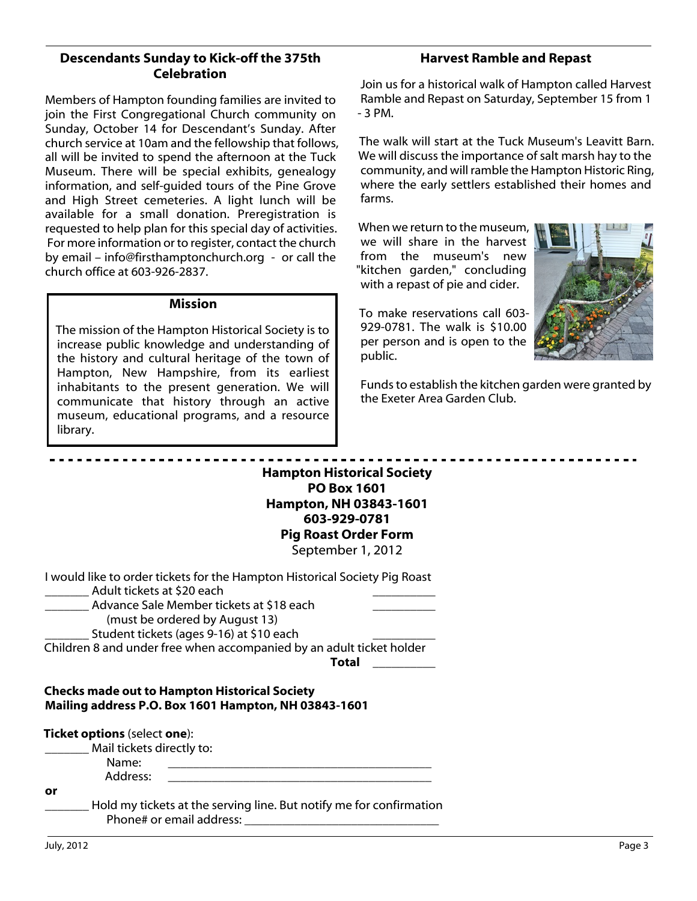# **Descendants Sunday to Kick-off the 375th Celebration**

Members of Hampton founding families are invited to join the First Congregational Church community on Sunday, October 14 for Descendant's Sunday. After church service at 10am and the fellowship that follows, all will be invited to spend the afternoon at the Tuck Museum. There will be special exhibits, genealogy information, and self-guided tours of the Pine Grove and High Street cemeteries. A light lunch will be available for a small donation. Preregistration is requested to help plan for this special day of activities. For more information or to register, contact the church by email – info@firsthamptonchurch.org - or call the church office at 603-926-2837.

### **Mission**

The mission of the Hampton Historical Society is to increase public knowledge and understanding of the history and cultural heritage of the town of Hampton, New Hampshire, from its earliest inhabitants to the present generation. We will communicate that history through an active museum, educational programs, and a resource library.

# **Harvest Ramble and Repast**

Join us for a historical walk of Hampton called Harvest Ramble and Repast on Saturday, September 15 from 1 - 3 PM.

The walk will start at the Tuck Museum's Leavitt Barn. We will discuss the importance of salt marsh hay to the community, and will ramble the Hampton Historic Ring, where the early settlers established their homes and farms.

When we return to the museum, we will share in the harvest from the museum's new "kitchen garden," concluding with a repast of pie and cider.

To make reservations call 603- 929-0781. The walk is \$10.00 per person and is open to the public.



Funds to establish the kitchen garden were granted by the Exeter Area Garden Club.

**Hampton Historical Society PO Box 1601 Hampton, NH 03843-1601 603-929-0781 Pig Roast Order Form** September 1, 2012

| I would like to order tickets for the Hampton Historical Society Pig Roast |
|----------------------------------------------------------------------------|
|----------------------------------------------------------------------------|

\_\_\_\_\_\_\_ Adult tickets at \$20 each \_\_\_\_\_\_\_\_\_\_

Advance Sale Member tickets at \$18 each

(must be ordered by August 13)

Student tickets (ages 9-16) at \$10 each

Children 8 and under free when accompanied by an adult ticket holder

**Total** \_\_\_\_\_\_\_\_\_\_

### **Checks made out to Hampton Historical Society Mailing address P.O. Box 1601 Hampton, NH 03843-1601**

|    | <b>Ticket options</b> (select one):<br>Mail tickets directly to: |                                                                                                 |
|----|------------------------------------------------------------------|-------------------------------------------------------------------------------------------------|
|    | Name:                                                            |                                                                                                 |
|    | Address:                                                         |                                                                                                 |
| or |                                                                  |                                                                                                 |
|    |                                                                  | Hold my tickets at the serving line. But notify me for confirmation<br>Phone# or email address: |